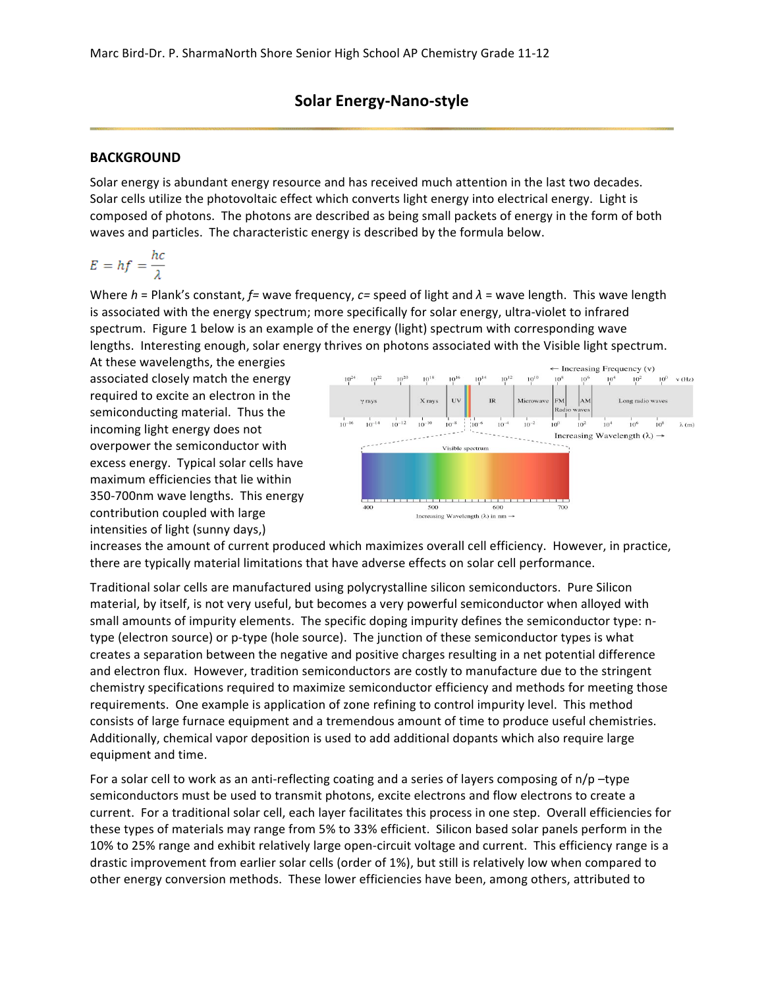## **Solar Energy-Nano-style**

#### **BACKGROUND**

Solar energy is abundant energy resource and has received much attention in the last two decades. Solar cells utilize the photovoltaic effect which converts light energy into electrical energy. Light is composed of photons. The photons are described as being small packets of energy in the form of both waves and particles. The characteristic energy is described by the formula below.

$$
E = hf = \frac{hc}{\lambda}
$$

Where *h* = Plank's constant, *f*= wave frequency, *c*= speed of light and  $λ$  = wave length. This wave length is associated with the energy spectrum; more specifically for solar energy, ultra-violet to infrared spectrum. Figure 1 below is an example of the energy (light) spectrum with corresponding wave lengths. Interesting enough, solar energy thrives on photons associated with the Visible light spectrum.

At these wavelengths, the energies associated closely match the energy required to excite an electron in the semiconducting material. Thus the incoming light energy does not overpower the semiconductor with excess energy. Typical solar cells have maximum efficiencies that lie within 350-700nm wave lengths. This energy contribution coupled with large intensities of light (sunny days,)



increases the amount of current produced which maximizes overall cell efficiency. However, in practice, there are typically material limitations that have adverse effects on solar cell performance.

Traditional solar cells are manufactured using polycrystalline silicon semiconductors. Pure Silicon material, by itself, is not very useful, but becomes a very powerful semiconductor when alloyed with small amounts of impurity elements. The specific doping impurity defines the semiconductor type: ntype (electron source) or p-type (hole source). The junction of these semiconductor types is what creates a separation between the negative and positive charges resulting in a net potential difference and electron flux. However, tradition semiconductors are costly to manufacture due to the stringent chemistry specifications required to maximize semiconductor efficiency and methods for meeting those requirements. One example is application of zone refining to control impurity level. This method consists of large furnace equipment and a tremendous amount of time to produce useful chemistries. Additionally, chemical vapor deposition is used to add additional dopants which also require large equipment and time.

For a solar cell to work as an anti-reflecting coating and a series of layers composing of  $n/p$  –type semiconductors must be used to transmit photons, excite electrons and flow electrons to create a current. For a traditional solar cell, each layer facilitates this process in one step. Overall efficiencies for these types of materials may range from 5% to 33% efficient. Silicon based solar panels perform in the 10% to 25% range and exhibit relatively large open-circuit voltage and current. This efficiency range is a drastic improvement from earlier solar cells (order of 1%), but still is relatively low when compared to other energy conversion methods. These lower efficiencies have been, among others, attributed to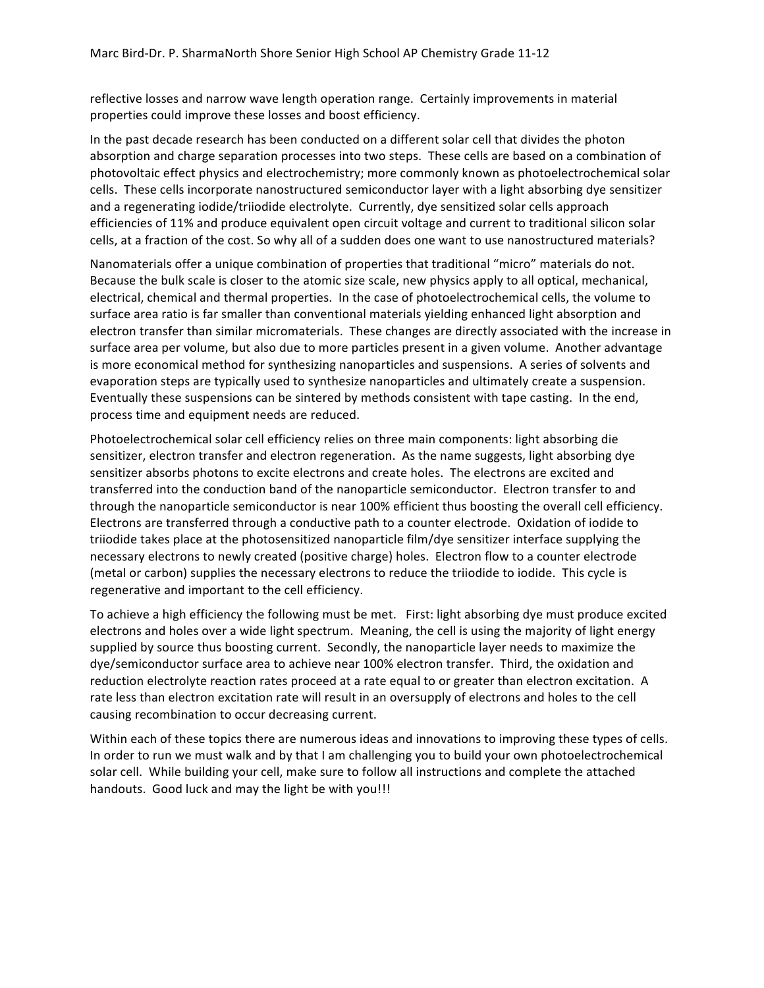reflective losses and narrow wave length operation range. Certainly improvements in material properties could improve these losses and boost efficiency.

In the past decade research has been conducted on a different solar cell that divides the photon absorption and charge separation processes into two steps. These cells are based on a combination of photovoltaic effect physics and electrochemistry; more commonly known as photoelectrochemical solar cells. These cells incorporate nanostructured semiconductor layer with a light absorbing dye sensitizer and a regenerating iodide/triiodide electrolyte. Currently, dye sensitized solar cells approach efficiencies of 11% and produce equivalent open circuit voltage and current to traditional silicon solar cells, at a fraction of the cost. So why all of a sudden does one want to use nanostructured materials?

Nanomaterials offer a unique combination of properties that traditional "micro" materials do not. Because the bulk scale is closer to the atomic size scale, new physics apply to all optical, mechanical, electrical, chemical and thermal properties. In the case of photoelectrochemical cells, the volume to surface area ratio is far smaller than conventional materials yielding enhanced light absorption and electron transfer than similar micromaterials. These changes are directly associated with the increase in surface area per volume, but also due to more particles present in a given volume. Another advantage is more economical method for synthesizing nanoparticles and suspensions. A series of solvents and evaporation steps are typically used to synthesize nanoparticles and ultimately create a suspension. Eventually these suspensions can be sintered by methods consistent with tape casting. In the end, process time and equipment needs are reduced.

Photoelectrochemical solar cell efficiency relies on three main components: light absorbing die sensitizer, electron transfer and electron regeneration. As the name suggests, light absorbing dye sensitizer absorbs photons to excite electrons and create holes. The electrons are excited and transferred into the conduction band of the nanoparticle semiconductor. Electron transfer to and through the nanoparticle semiconductor is near 100% efficient thus boosting the overall cell efficiency. Electrons are transferred through a conductive path to a counter electrode. Oxidation of iodide to triiodide takes place at the photosensitized nanoparticle film/dye sensitizer interface supplying the necessary electrons to newly created (positive charge) holes. Electron flow to a counter electrode (metal or carbon) supplies the necessary electrons to reduce the triiodide to iodide. This cycle is regenerative and important to the cell efficiency.

To achieve a high efficiency the following must be met. First: light absorbing dye must produce excited electrons and holes over a wide light spectrum. Meaning, the cell is using the majority of light energy supplied by source thus boosting current. Secondly, the nanoparticle layer needs to maximize the dye/semiconductor surface area to achieve near 100% electron transfer. Third, the oxidation and reduction electrolyte reaction rates proceed at a rate equal to or greater than electron excitation. A rate less than electron excitation rate will result in an oversupply of electrons and holes to the cell causing recombination to occur decreasing current.

Within each of these topics there are numerous ideas and innovations to improving these types of cells. In order to run we must walk and by that I am challenging you to build your own photoelectrochemical solar cell. While building your cell, make sure to follow all instructions and complete the attached handouts. Good luck and may the light be with you!!!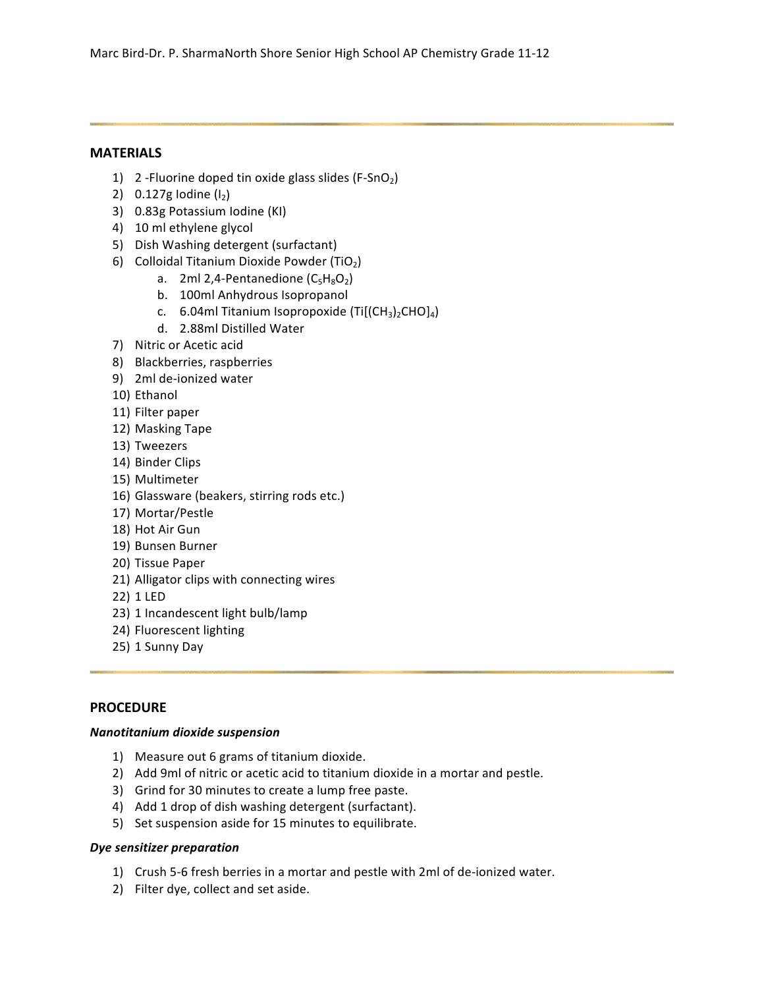### **MATERIALS**

- 1) 2 Fluorine doped tin oxide glass slides (F-SnO<sub>2</sub>)
- 2)  $0.127g$  Iodine (I<sub>2</sub>)
- 3) 0.83g Potassium Iodine (KI)
- 4) 10 ml ethylene glycol
- 5) Dish Washing detergent (surfactant)
- 6) Colloidal Titanium Dioxide Powder (TiO<sub>2</sub>)
	- a. 2ml 2,4-Pentanedione  $(C_5H_8O_2)$
	- b. 100ml Anhydrous Isopropanol
	- c. 6.04ml Titanium Isopropoxide (Ti $[(CH<sub>3</sub>)<sub>2</sub>CHO]<sub>4</sub>$ )
	- d. 2.88ml Distilled Water
- 7) Nitric or Acetic acid
- 8) Blackberries, raspberries
- 9) 2ml de-ionized water
- 10) Ethanol
- 11) Filter paper
- 12) Masking Tape
- 13) Tweezers
- 14) Binder Clips
- 15) Multimeter
- 16) Glassware (beakers, stirring rods etc.)
- 17) Mortar/Pestle
- 18) Hot Air Gun
- 19) Bunsen Burner
- 20) Tissue Paper
- 21) Alligator clips with connecting wires
- 22) 1 LED
- 23) 1 Incandescent light bulb/lamp
- 24) Fluorescent lighting
- 25) 1 Sunny Day

### **PROCEDURE**

### *Nanotitanium)dioxide)suspension*

- 1) Measure out 6 grams of titanium dioxide.
- 2) Add 9ml of nitric or acetic acid to titanium dioxide in a mortar and pestle.
- 3) Grind for 30 minutes to create a lump free paste.
- 4) Add 1 drop of dish washing detergent (surfactant).
- 5) Set suspension aside for 15 minutes to equilibrate.

### *Dye sensitizer preparation*

- 1) Crush 5-6 fresh berries in a mortar and pestle with 2ml of de-ionized water.
- 2) Filter dye, collect and set aside.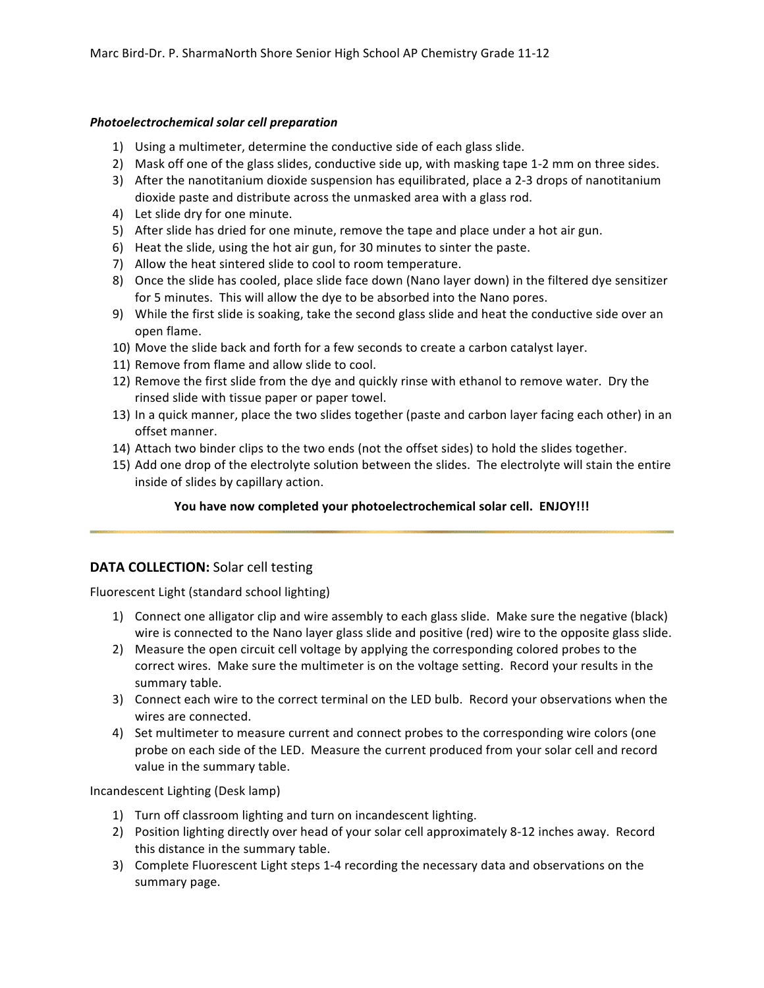### *Photoelectrochemical)solar)cell)preparation*

- 1) Using a multimeter, determine the conductive side of each glass slide.
- 2) Mask off one of the glass slides, conductive side up, with masking tape 1-2 mm on three sides.
- 3) After the nanotitanium dioxide suspension has equilibrated, place a 2-3 drops of nanotitanium dioxide paste and distribute across the unmasked area with a glass rod.
- 4) Let slide dry for one minute.
- 5) After slide has dried for one minute, remove the tape and place under a hot air gun.
- 6) Heat the slide, using the hot air gun, for 30 minutes to sinter the paste.
- 7) Allow the heat sintered slide to cool to room temperature.
- 8) Once the slide has cooled, place slide face down (Nano layer down) in the filtered dye sensitizer for 5 minutes. This will allow the dye to be absorbed into the Nano pores.
- 9) While the first slide is soaking, take the second glass slide and heat the conductive side over an open flame.
- 10) Move the slide back and forth for a few seconds to create a carbon catalyst layer.
- 11) Remove from flame and allow slide to cool.
- 12) Remove the first slide from the dye and quickly rinse with ethanol to remove water. Dry the rinsed slide with tissue paper or paper towel.
- 13) In a quick manner, place the two slides together (paste and carbon layer facing each other) in an offset manner.
- 14) Attach two binder clips to the two ends (not the offset sides) to hold the slides together.
- 15) Add one drop of the electrolyte solution between the slides. The electrolyte will stain the entire inside of slides by capillary action.

### You have now completed your photoelectrochemical solar cell. ENJOY!!!

### **DATA COLLECTION:** Solar cell testing

Fluorescent Light (standard school lighting)

- 1) Connect one alligator clip and wire assembly to each glass slide. Make sure the negative (black) wire is connected to the Nano layer glass slide and positive (red) wire to the opposite glass slide.
- 2) Measure the open circuit cell voltage by applying the corresponding colored probes to the correct wires. Make sure the multimeter is on the voltage setting. Record your results in the summary table.
- 3) Connect each wire to the correct terminal on the LED bulb. Record your observations when the wires are connected.
- 4) Set multimeter to measure current and connect probes to the corresponding wire colors (one probe on each side of the LED. Measure the current produced from your solar cell and record value in the summary table.

Incandescent Lighting (Desk lamp)

- 1) Turn off classroom lighting and turn on incandescent lighting.
- 2) Position lighting directly over head of your solar cell approximately 8-12 inches away. Record this distance in the summary table.
- 3) Complete Fluorescent Light steps 1-4 recording the necessary data and observations on the summary page.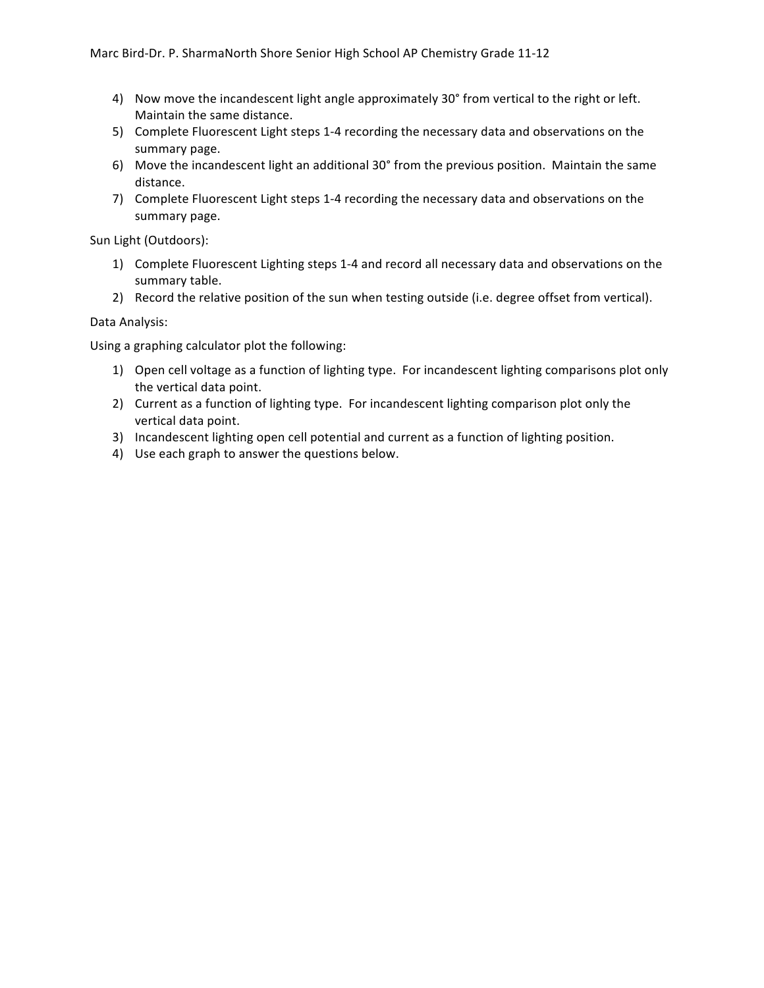- 4) Now move the incandescent light angle approximately 30° from vertical to the right or left. Maintain the same distance.
- 5) Complete Fluorescent Light steps 1-4 recording the necessary data and observations on the summary page.
- 6) Move the incandescent light an additional 30° from the previous position. Maintain the same distance.
- 7) Complete Fluorescent Light steps 1-4 recording the necessary data and observations on the summary page.

Sun Light (Outdoors):

- 1) Complete Fluorescent Lighting steps 1-4 and record all necessary data and observations on the summary table.
- 2) Record the relative position of the sun when testing outside (i.e. degree offset from vertical).

Data Analysis:

Using a graphing calculator plot the following:

- 1) Open cell voltage as a function of lighting type. For incandescent lighting comparisons plot only the vertical data point.
- 2) Current as a function of lighting type. For incandescent lighting comparison plot only the vertical data point.
- 3) Incandescent lighting open cell potential and current as a function of lighting position.
- 4) Use each graph to answer the questions below.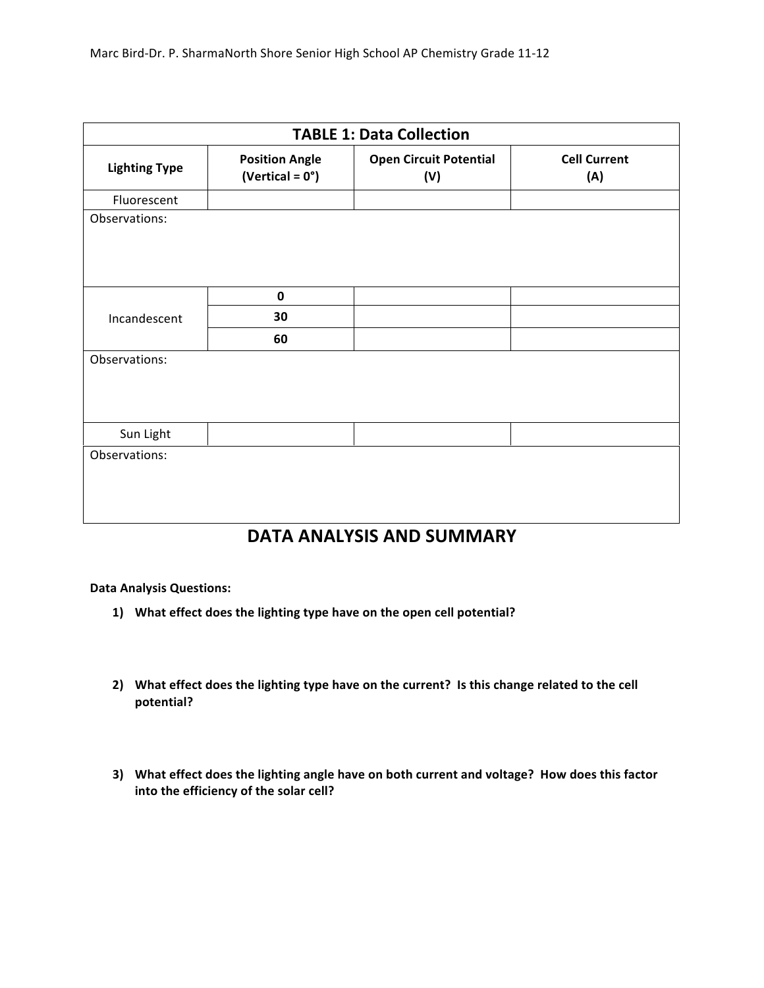| <b>TABLE 1: Data Collection</b> |                                                    |                                      |                            |  |  |
|---------------------------------|----------------------------------------------------|--------------------------------------|----------------------------|--|--|
| <b>Lighting Type</b>            | <b>Position Angle</b><br>(Vertical = $0^{\circ}$ ) | <b>Open Circuit Potential</b><br>(V) | <b>Cell Current</b><br>(A) |  |  |
| Fluorescent                     |                                                    |                                      |                            |  |  |
| Observations:                   |                                                    |                                      |                            |  |  |
| Incandescent                    | $\pmb{0}$                                          |                                      |                            |  |  |
|                                 | 30                                                 |                                      |                            |  |  |
|                                 | 60                                                 |                                      |                            |  |  |
| Observations:                   |                                                    |                                      |                            |  |  |
| Sun Light                       |                                                    |                                      |                            |  |  |
| Observations:                   |                                                    |                                      |                            |  |  |

# **DATA&ANALYSIS&AND&SUMMARY**

### **Data Analysis Questions:**

- 1) What effect does the lighting type have on the open cell potential?
- 2) What effect does the lighting type have on the current? Is this change related to the cell **potential?**
- 3) What effect does the lighting angle have on both current and voltage? How does this factor into the efficiency of the solar cell?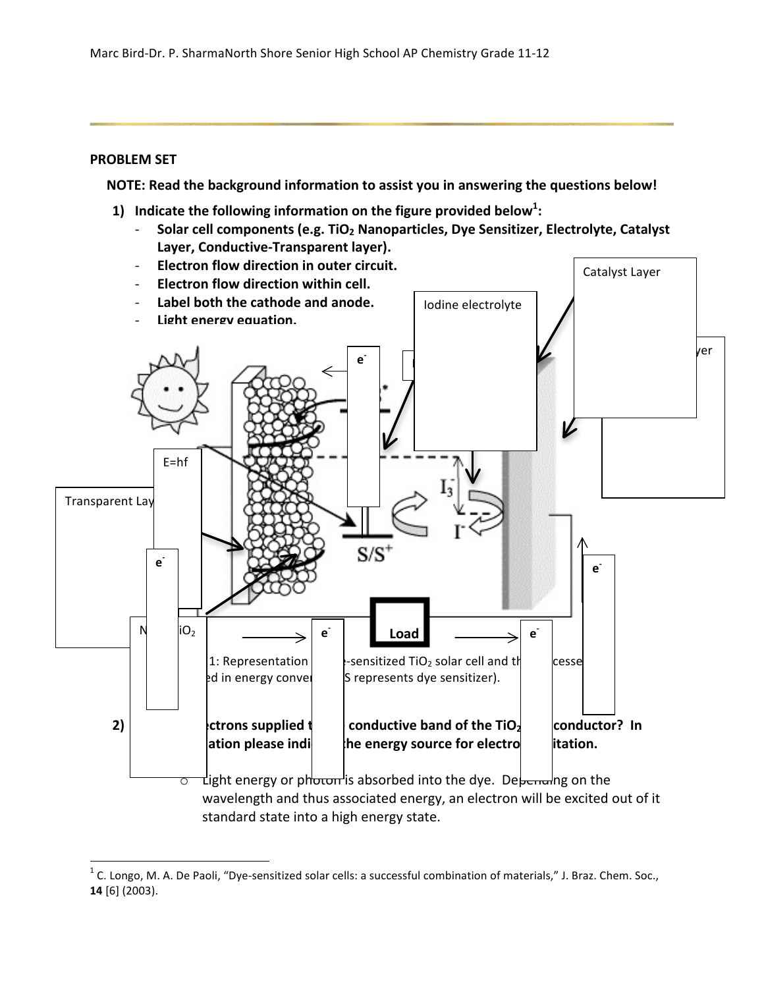### **PROBLEM SET**

**NOTE:** Read the background information to assist you in answering the questions below!

- **1)** Indicate the following information on the figure provided below<sup>1</sup>:
	- Solar cell components (e.g. TiO<sub>2</sub> Nanoparticles, Dye Sensitizer, Electrolyte, Catalyst Layer, Conductive-Transparent layer).



standard state into a high energy state.

 $\,$  %  $\,$  %  $\,$  %  $\,$  %  $\,$  %  $\,$  %  $\,$  %  $\,$  %  $\,$  %  $\,$  %  $\,$  %  $\,$  %  $\,$  %  $\,$  %  $\,$  %  $\,$  %  $\,$  %  $\,$  %  $\,$  %  $\,$  %  $\,$  %  $\,$  %  $\,$  %  $\,$  %  $\,$  %  $\,$  %  $\,$  %  $\,$  %  $\,$  %  $\,$  %  $\,$  %  $\,$ 

<sup>&</sup>lt;sup>1</sup> C. Longo, M. A. De Paoli, "Dye-sensitized solar cells: a successful combination of materials," J. Braz. Chem. Soc., **14** [6] (2003).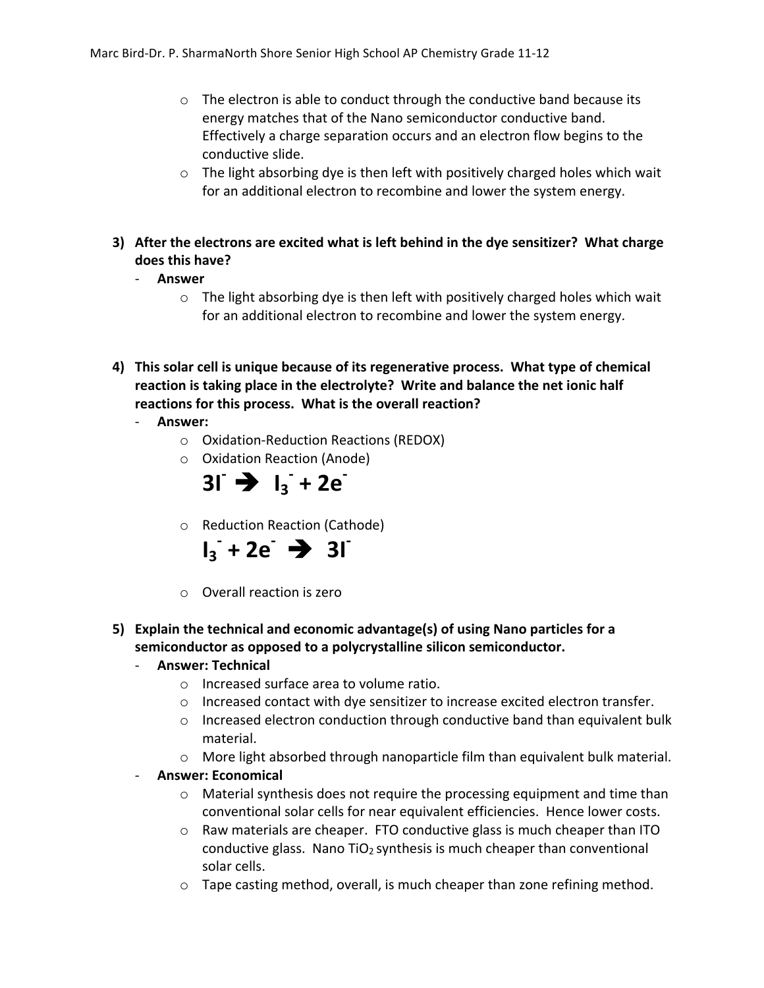- $\circ$  The electron is able to conduct through the conductive band because its energy matches that of the Nano semiconductor conductive band. Effectively a charge separation occurs and an electron flow begins to the conductive slide.
- $\circ$  The light absorbing dye is then left with positively charged holes which wait for an additional electron to recombine and lower the system energy.
- **3)** After the electrons are excited what is left behind in the dye sensitizer? What charge does this have?
	- ) **Answer**
		- $\circ$  The light absorbing dye is then left with positively charged holes which wait for an additional electron to recombine and lower the system energy.
- 4) This solar cell is unique because of its regenerative process. What type of chemical reaction is taking place in the electrolyte? Write and balance the net ionic half reactions for this process. What is the overall reaction?
	- ) **Answer:**
		- $\circ$  Oxidation-Reduction Reactions (REDOX)
		- o Oxidation Reaction (Anode)



o Reduction Reaction (Cathode)



- $\circ$  Overall reaction is zero
- **5)** Explain the technical and economic advantage(s) of using Nano particles for a semiconductor as opposed to a polycrystalline silicon semiconductor.

## - **Answer: Technical**

- $\circ$  Increased surface area to volume ratio.
- $\circ$  Increased contact with dye sensitizer to increase excited electron transfer.
- $\circ$  Increased electron conduction through conductive band than equivalent bulk material.
- $\circ$  More light absorbed through nanoparticle film than equivalent bulk material.

## Answer: Economical

- $\circ$  Material synthesis does not require the processing equipment and time than conventional solar cells for near equivalent efficiencies. Hence lower costs.
- $\circ$  Raw materials are cheaper. FTO conductive glass is much cheaper than ITO conductive glass. Nano  $TiO<sub>2</sub>$  synthesis is much cheaper than conventional solar cells.
- $\circ$  Tape casting method, overall, is much cheaper than zone refining method.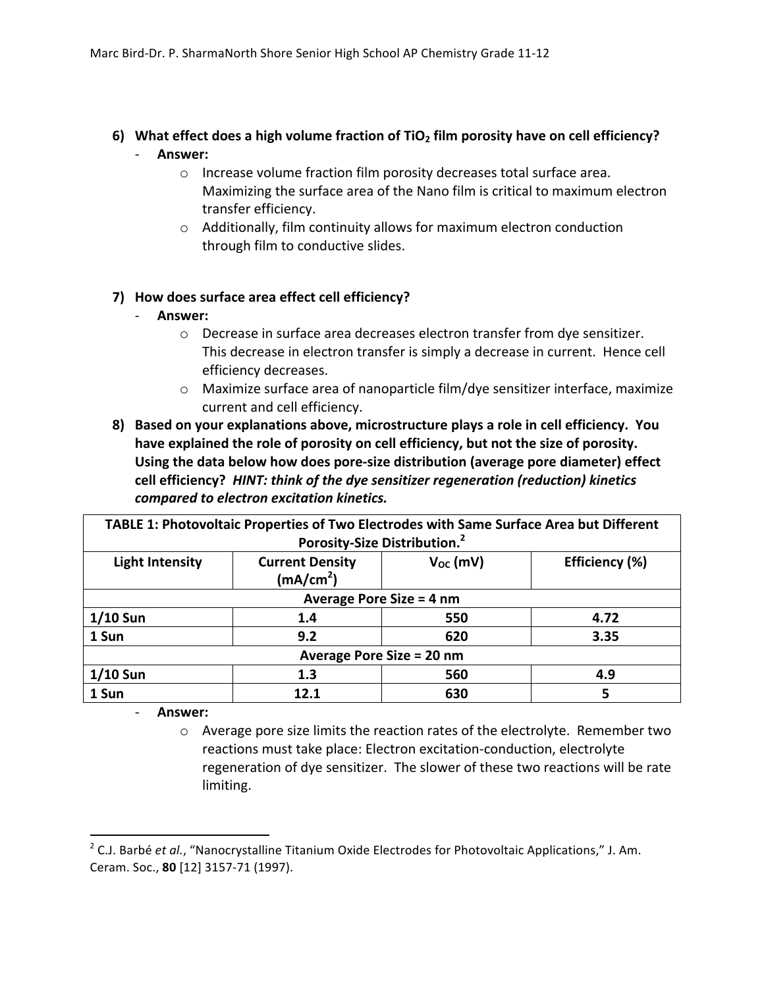## 6) What effect does a high volume fraction of TiO<sub>2</sub> film porosity have on cell efficiency? ) **Answer:**

- $\circ$  Increase volume fraction film porosity decreases total surface area. Maximizing the surface area of the Nano film is critical to maximum electron transfer efficiency.
- $\circ$  Additionally, film continuity allows for maximum electron conduction through film to conductive slides.

## **7)** How does surface area effect cell efficiency?

- ) **Answer:**
	- $\circ$  Decrease in surface area decreases electron transfer from dye sensitizer. This decrease in electron transfer is simply a decrease in current. Hence cell efficiency decreases.
	- $\circ$  Maximize surface area of nanoparticle film/dye sensitizer interface, maximize current and cell efficiency.
- 8) Based on your explanations above, microstructure plays a role in cell efficiency. You have explained the role of porosity on cell efficiency, but not the size of porosity. Using the data below how does pore-size distribution (average pore diameter) effect cell efficiency? HINT: think of the dye sensitizer regeneration (reduction) kinetics *compared)to)electron)excitation)kinetics.***&&**

| TABLE 1: Photovoltaic Properties of Two Electrodes with Same Surface Area but Different |                                                 |               |                |  |  |
|-----------------------------------------------------------------------------------------|-------------------------------------------------|---------------|----------------|--|--|
| Porosity-Size Distribution. <sup>2</sup>                                                |                                                 |               |                |  |  |
| <b>Light Intensity</b>                                                                  | <b>Current Density</b><br>(mA/cm <sup>2</sup> ) | $V_{OC}$ (mV) | Efficiency (%) |  |  |
| Average Pore Size = 4 nm                                                                |                                                 |               |                |  |  |
| $1/10$ Sun                                                                              | 1.4                                             | 550           | 4.72           |  |  |
| 1 Sun                                                                                   | 9.2                                             | 620           | 3.35           |  |  |
| Average Pore Size = 20 nm                                                               |                                                 |               |                |  |  |
| $1/10$ Sun                                                                              | 1.3                                             | 560           | 4.9            |  |  |
| 1 Sun                                                                                   | 12.1                                            | 630           | 5              |  |  |

) **Answer:**

%%%%%%%%%%%%%%%%%%%%%%%%%%%%%%%%%%%%%%%%%%%%%%%%%%%%%%%%%%%%

 $\circ$  Average pore size limits the reaction rates of the electrolyte. Remember two reactions must take place: Electron excitation-conduction, electrolyte regeneration of dye sensitizer. The slower of these two reactions will be rate limiting.

<sup>&</sup>lt;sup>2</sup> C.J. Barbé *et al.*, "Nanocrystalline Titanium Oxide Electrodes for Photovoltaic Applications," J. Am. Ceram. Soc., 80 [12] 3157-71 (1997).